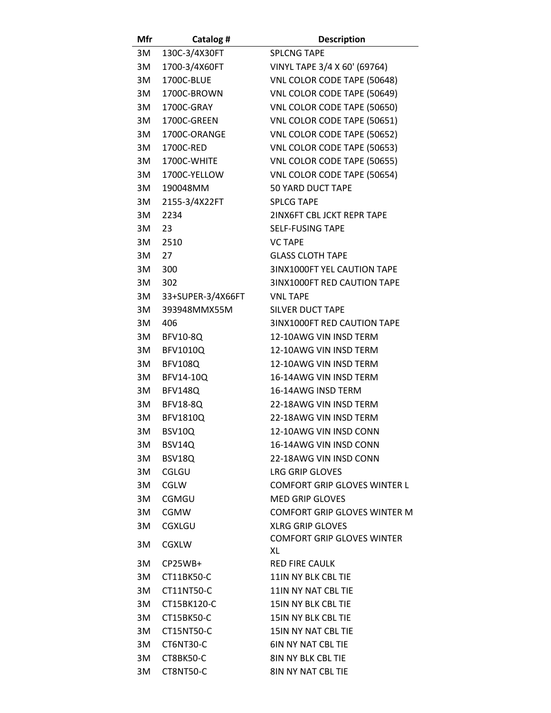| Mfr | Catalog #         | <b>Description</b>                  |
|-----|-------------------|-------------------------------------|
| 3M  | 130C-3/4X30FT     | <b>SPLCNG TAPE</b>                  |
| 3M  | 1700-3/4X60FT     | VINYL TAPE 3/4 X 60' (69764)        |
| 3M  | 1700C-BLUE        | VNL COLOR CODE TAPE (50648)         |
| 3M  | 1700C-BROWN       | VNL COLOR CODE TAPE (50649)         |
| 3M  | 1700C-GRAY        | VNL COLOR CODE TAPE (50650)         |
| 3M  | 1700C-GREEN       | VNL COLOR CODE TAPE (50651)         |
| 3M  | 1700C-ORANGE      | VNL COLOR CODE TAPE (50652)         |
| 3M  | 1700C-RED         | VNL COLOR CODE TAPE (50653)         |
| 3M  | 1700C-WHITE       | VNL COLOR CODE TAPE (50655)         |
| 3M  | 1700C-YELLOW      | VNL COLOR CODE TAPE (50654)         |
| 3M  | 190048MM          | <b>50 YARD DUCT TAPE</b>            |
| 3M  | 2155-3/4X22FT     | <b>SPLCG TAPE</b>                   |
| 3M  | 2234              | 2INX6FT CBL JCKT REPR TAPE          |
| 3M  | 23                | <b>SELF-FUSING TAPE</b>             |
| 3M  | 2510              | <b>VC TAPE</b>                      |
| 3M  | 27                | <b>GLASS CLOTH TAPE</b>             |
|     |                   |                                     |
| 3M  | 300               | 3INX1000FT YEL CAUTION TAPE         |
| 3M  | 302               | 3INX1000FT RED CAUTION TAPE         |
| 3M  | 33+SUPER-3/4X66FT | <b>VNL TAPE</b>                     |
| 3M  | 393948MMX55M      | <b>SILVER DUCT TAPE</b>             |
| 3M  | 406               | 3INX1000FT RED CAUTION TAPE         |
| 3M  | <b>BFV10-8Q</b>   | 12-10AWG VIN INSD TERM              |
| 3M  | <b>BFV1010Q</b>   | 12-10AWG VIN INSD TERM              |
| 3M  | <b>BFV108Q</b>    | 12-10AWG VIN INSD TERM              |
| 3M  | BFV14-10Q         | 16-14AWG VIN INSD TERM              |
| 3M  | <b>BFV148Q</b>    | 16-14AWG INSD TERM                  |
| 3M  | <b>BFV18-8Q</b>   | 22-18AWG VIN INSD TERM              |
| 3M  | <b>BFV1810Q</b>   | 22-18AWG VIN INSD TERM              |
| 3M  | <b>BSV10Q</b>     | 12-10AWG VIN INSD CONN              |
| 3M  | BSV14Q            | 16-14AWG VIN INSD CONN              |
| 3M  | BSV18Q            | 22-18AWG VIN INSD CONN              |
| 3M  | CGLGU             | <b>LRG GRIP GLOVES</b>              |
| 3M  | <b>CGLW</b>       | <b>COMFORT GRIP GLOVES WINTER L</b> |
| 3M  | CGMGU             | <b>MED GRIP GLOVES</b>              |
| 3M  | <b>CGMW</b>       | <b>COMFORT GRIP GLOVES WINTER M</b> |
| 3M  | <b>CGXLGU</b>     | <b>XLRG GRIP GLOVES</b>             |
| 3M  | <b>CGXLW</b>      | <b>COMFORT GRIP GLOVES WINTER</b>   |
|     |                   | XL                                  |
| 3M  | CP25WB+           | <b>RED FIRE CAULK</b>               |
| 3M  | CT11BK50-C        | 11IN NY BLK CBL TIE                 |
| 3M  | CT11NT50-C        | 11IN NY NAT CBL TIE                 |
| 3M  | CT15BK120-C       | 15IN NY BLK CBL TIE                 |
| 3M  | CT15BK50-C        | 15IN NY BLK CBL TIE                 |
| 3M  | CT15NT50-C        | 15IN NY NAT CBL TIE                 |
| 3M  | CT6NT30-C         | <b>6IN NY NAT CBL TIE</b>           |
| 3M  | CT8BK50-C         | <b>8IN NY BLK CBL TIE</b>           |
| 3M  | CT8NT50-C         | 8IN NY NAT CBL TIE                  |